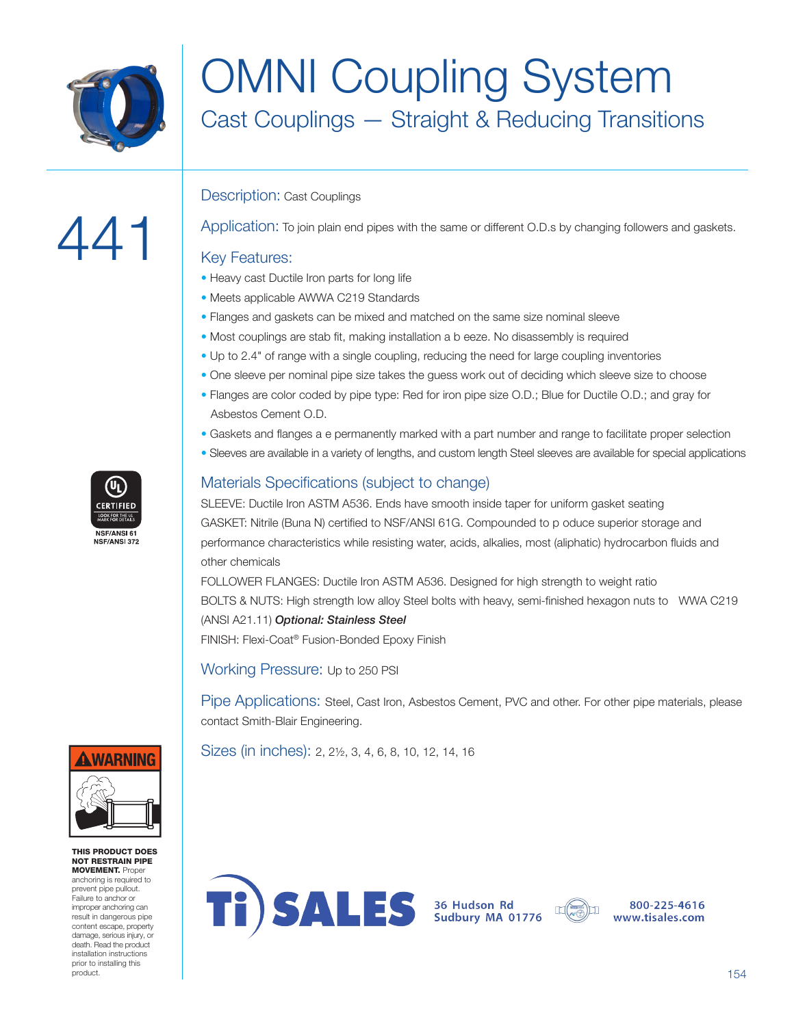

441

# OMNI Coupling System Cast Couplings — Straight & Reducing Transitions

### Description: Cast Couplings

#### Application: To join plain end pipes with the same or different O.D.s by changing followers and gaskets.

#### Key Features:

- Heavy cast Ductile Iron parts for long life
- Meets applicable AWWA C219 Standards
- Flanges and gaskets can be mixed and matched on the same size nominal sleeve
- Most couplings are stab fit, making installation a b eeze. No disassembly is required
- Up to 2.4" of range with a single coupling, reducing the need for large coupling inventories
- One sleeve per nominal pipe size takes the guess work out of deciding which sleeve size to choose
- Flanges are color coded by pipe type: Red for iron pipe size O.D.; Blue for Ductile O.D.; and gray for Asbestos Cement O.D.
- Gaskets and flanges a e permanently marked with a part number and range to facilitate proper selection
- Sleeves are available in a variety of lengths, and custom length Steel sleeves are available for special applications

### Materials Specifications (subject to change)

SLEEVE: Ductile Iron ASTM A536. Ends have smooth inside taper for uniform gasket seating GASKET: Nitrile (Buna N) certified to NSF/ANSI 61G. Compounded to p oduce superior storage and performance characteristics while resisting water, acids, alkalies, most (aliphatic) hydrocarbon fluids and other chemicals

FOLLOWER FLANGES: Ductile Iron ASTM A536. Designed for high strength to weight ratio BOLTS & NUTS: High strength low alloy Steel bolts with heavy, semi-finished hexagon nuts to WWA C219 (ANSI A21.11) *Optional: Stainless Steel* FINISH: Flexi-Coat® Fusion-Bonded Epoxy Finish

Working Pressure: Up to 250 PSI

Pipe Applications: Steel, Cast Iron, Asbestos Cement, PVC and other. For other pipe materials, please contact Smith-Blair Engineering.

Sizes (in inches): 2, 2½, 3, 4, 6, 8, 10, 12, 14, 16





800-225-4616 www.tisales.com





THIS PRODUCT DOES NOT RESTRAIN PIPE **MOVEMENT.** Proper

anchoring is required to prevent pipe pullout. Failure to anchor or improper anchoring can result in dangerous pipe content escape, property damage, serious injury, or death. Read the product installation instructions prior to installing this product.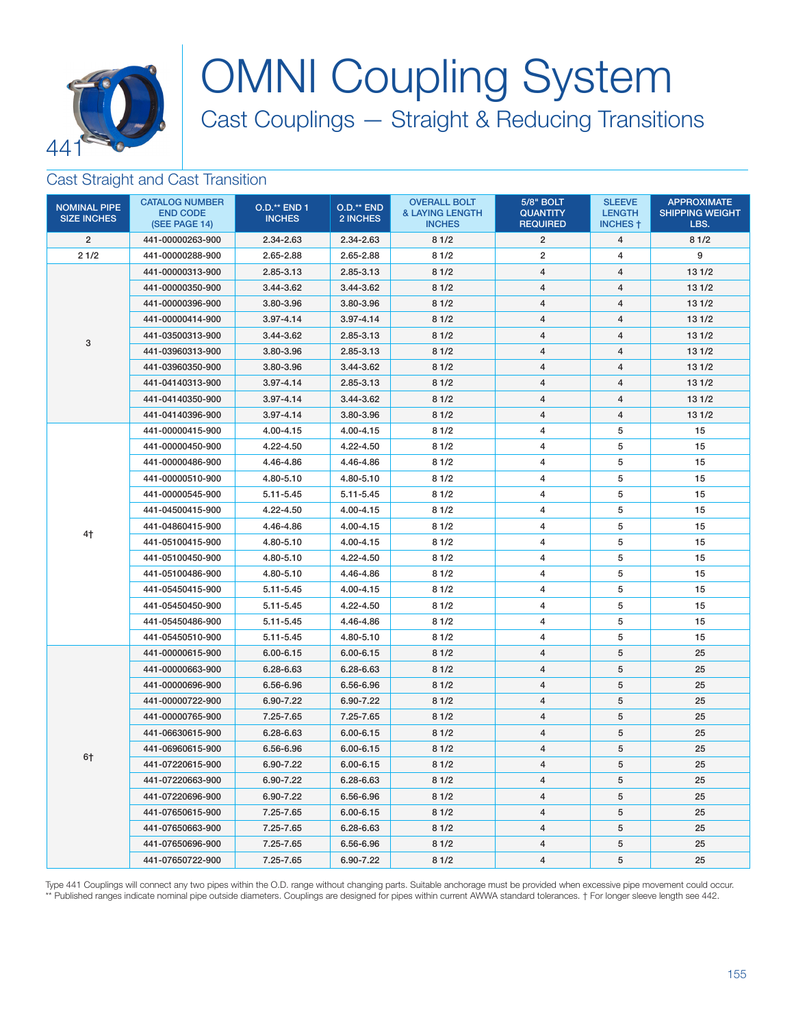

# OMNI Coupling System Cast Couplings — Straight & Reducing Transitions

### Cast Straight and Cast Transition

| <b>NOMINAL PIPE</b><br><b>SIZE INCHES</b> | <b>CATALOG NUMBER</b><br><b>END CODE</b><br>(SEE PAGE 14) | <b>O.D.** END 1</b><br><b>INCHES</b> | O.D.** END<br>2 INCHES | <b>OVERALL BOLT</b><br><b>&amp; LAYING LENGTH</b><br><b>INCHES</b> | <b>5/8" BOLT</b><br><b>QUANTITY</b><br><b>REQUIRED</b> | <b>SLEEVE</b><br><b>LENGTH</b><br><b>INCHES †</b> | <b>APPROXIMATE</b><br><b>SHIPPING WEIGHT</b><br>LBS. |
|-------------------------------------------|-----------------------------------------------------------|--------------------------------------|------------------------|--------------------------------------------------------------------|--------------------------------------------------------|---------------------------------------------------|------------------------------------------------------|
| $\overline{2}$                            | 441-00000263-900                                          | 2.34-2.63                            | 2.34-2.63              | 81/2                                                               | $\overline{2}$                                         | 4                                                 | 81/2                                                 |
| 21/2                                      | 441-00000288-900                                          | 2.65-2.88                            | 2.65-2.88              | 81/2                                                               | $\overline{2}$                                         | 4                                                 | 9                                                    |
|                                           | 441-00000313-900                                          | 2.85-3.13                            | 2.85-3.13              | 81/2                                                               | $\overline{4}$                                         | 4                                                 | 13 1/2                                               |
|                                           | 441-00000350-900                                          | 3.44-3.62                            | 3.44-3.62              | 81/2                                                               | $\overline{4}$                                         | 4                                                 | 13 1/2                                               |
|                                           | 441-00000396-900                                          | 3.80-3.96                            | 3.80-3.96              | 81/2                                                               | $\overline{4}$                                         | 4                                                 | 13 1/2                                               |
|                                           | 441-00000414-900                                          | $3.97 - 4.14$                        | $3.97 - 4.14$          | 81/2                                                               | 4                                                      | 4                                                 | 131/2                                                |
|                                           | 441-03500313-900                                          | 3.44-3.62                            | 2.85-3.13              | 81/2                                                               | $\overline{4}$                                         | 4                                                 | 13 1/2                                               |
| 3                                         | 441-03960313-900                                          | 3.80-3.96                            | 2.85-3.13              | 81/2                                                               | 4                                                      | 4                                                 | 13 1/2                                               |
|                                           | 441-03960350-900                                          | 3.80-3.96                            | 3.44-3.62              | 81/2                                                               | $\overline{4}$                                         | 4                                                 | 131/2                                                |
|                                           | 441-04140313-900                                          | $3.97 - 4.14$                        | 2.85-3.13              | 81/2                                                               | 4                                                      | 4                                                 | 13 1/2                                               |
|                                           | 441-04140350-900                                          | 3.97-4.14                            | 3.44-3.62              | 81/2                                                               | $\overline{4}$                                         | 4                                                 | 131/2                                                |
|                                           | 441-04140396-900                                          | $3.97 - 4.14$                        | 3.80-3.96              | 81/2                                                               | $\overline{4}$                                         | 4                                                 | 131/2                                                |
|                                           | 441-00000415-900                                          | 4.00-4.15                            | 4.00-4.15              | 81/2                                                               | 4                                                      | 5                                                 | 15                                                   |
|                                           | 441-00000450-900                                          | 4.22-4.50                            | 4.22-4.50              | 81/2                                                               | 4                                                      | 5                                                 | 15                                                   |
|                                           | 441-00000486-900                                          | 4.46-4.86                            | 4.46-4.86              | 81/2                                                               | $\overline{4}$                                         | 5                                                 | 15                                                   |
|                                           | 441-00000510-900                                          | 4.80-5.10                            | 4.80-5.10              | 81/2                                                               | 4                                                      | 5                                                 | 15                                                   |
|                                           | 441-00000545-900                                          | 5.11-5.45                            | 5.11-5.45              | 81/2                                                               | $\overline{4}$                                         | 5                                                 | 15                                                   |
|                                           | 441-04500415-900                                          | 4.22-4.50                            | 4.00-4.15              | 81/2                                                               | 4                                                      | 5                                                 | 15                                                   |
|                                           | 441-04860415-900                                          | 4.46-4.86                            | 4.00-4.15              | 81/2                                                               | 4                                                      | 5                                                 | 15                                                   |
| 4†                                        | 441-05100415-900                                          | 4.80-5.10                            | 4.00-4.15              | 81/2                                                               | $\overline{4}$                                         | 5                                                 | 15                                                   |
|                                           | 441-05100450-900                                          | 4.80-5.10                            | 4.22-4.50              | 81/2                                                               | $\overline{4}$                                         | 5                                                 | 15                                                   |
|                                           | 441-05100486-900                                          | 4.80-5.10                            | 4.46-4.86              | 81/2                                                               | $\overline{4}$                                         | 5                                                 | 15                                                   |
|                                           | 441-05450415-900                                          | 5.11-5.45                            | 4.00-4.15              | 81/2                                                               | 4                                                      | 5                                                 | 15                                                   |
|                                           | 441-05450450-900                                          | 5.11-5.45                            | 4.22-4.50              | 81/2                                                               | $\overline{4}$                                         | 5                                                 | 15                                                   |
|                                           | 441-05450486-900                                          | 5.11-5.45                            | 4.46-4.86              | 81/2                                                               | 4                                                      | 5                                                 | 15                                                   |
|                                           | 441-05450510-900                                          | 5.11-5.45                            | 4.80-5.10              | 81/2                                                               | 4                                                      | 5                                                 | 15                                                   |
|                                           | 441-00000615-900                                          | 6.00-6.15                            | $6.00 - 6.15$          | 81/2                                                               | 4                                                      | 5                                                 | 25                                                   |
|                                           | 441-00000663-900                                          | 6.28-6.63                            | 6.28-6.63              | 81/2                                                               | $\overline{4}$                                         | 5                                                 | 25                                                   |
|                                           | 441-00000696-900                                          | 6.56-6.96                            | 6.56-6.96              | 81/2                                                               | 4                                                      | 5                                                 | 25                                                   |
|                                           | 441-00000722-900                                          | 6.90-7.22                            | 6.90-7.22              | 81/2                                                               | $\overline{4}$                                         | 5                                                 | 25                                                   |
|                                           | 441-00000765-900                                          | 7.25-7.65                            | 7.25-7.65              | 81/2                                                               | $\overline{4}$                                         | 5                                                 | 25                                                   |
| 6†                                        | 441-06630615-900                                          | 6.28-6.63                            | $6.00 - 6.15$          | 81/2                                                               | $\overline{4}$                                         | 5                                                 | 25                                                   |
|                                           | 441-06960615-900                                          | 6.56-6.96                            | 6.00-6.15              | 81/2                                                               | $\overline{4}$                                         | 5                                                 | 25                                                   |
|                                           | 441-07220615-900                                          | 6.90-7.22                            | $6.00 - 6.15$          | 81/2                                                               | $\overline{4}$                                         | 5                                                 | 25                                                   |
|                                           | 441-07220663-900                                          | 6.90-7.22                            | 6.28-6.63              | 81/2                                                               | $\overline{4}$                                         | 5                                                 | 25                                                   |
|                                           | 441-07220696-900                                          | 6.90-7.22                            | 6.56-6.96              | 81/2                                                               | $\overline{4}$                                         | 5                                                 | 25                                                   |
|                                           | 441-07650615-900                                          | 7.25-7.65                            | $6.00 - 6.15$          | 81/2                                                               | 4                                                      | 5                                                 | 25                                                   |
|                                           | 441-07650663-900                                          | 7.25-7.65                            | 6.28-6.63              | 81/2                                                               | $\overline{4}$                                         | 5                                                 | 25                                                   |
|                                           | 441-07650696-900                                          | 7.25-7.65                            | 6.56-6.96              | 81/2                                                               | 4                                                      | 5                                                 | 25                                                   |
|                                           | 441-07650722-900                                          | 7.25-7.65                            | 6.90-7.22              | 81/2                                                               | $\overline{4}$                                         | 5                                                 | 25                                                   |

Type 441 Couplings will connect any two pipes within the O.D. range without changing parts. Suitable anchorage must be provided when excessive pipe movement could occur. \*\* Published ranges indicate nominal pipe outside diameters. Couplings are designed for pipes within current AWWA standard tolerances. † For longer sleeve length see 442.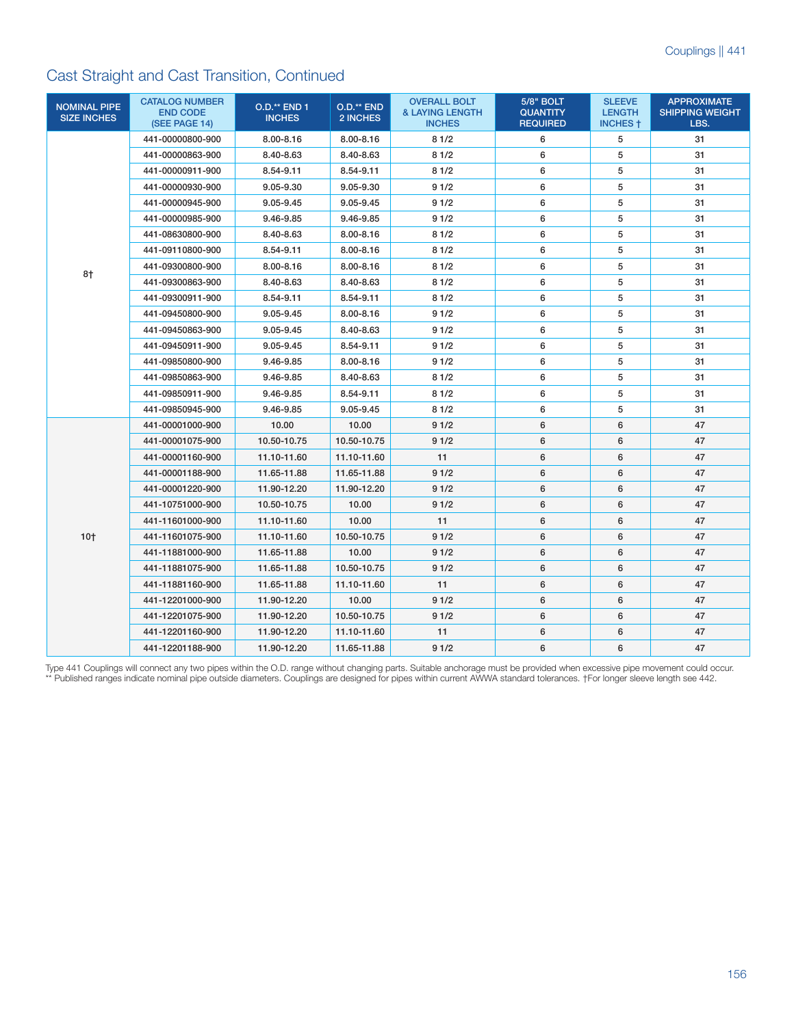## Cast Straight and Cast Transition, Continued

| <b>NOMINAL PIPE</b><br><b>SIZE INCHES</b> | <b>CATALOG NUMBER</b><br><b>END CODE</b><br>(SEE PAGE 14) | <b>O.D.** END 1</b><br><b>INCHES</b> | O.D.** END<br>2 INCHES | <b>OVERALL BOLT</b><br><b>&amp; LAYING LENGTH</b><br><b>INCHES</b> | <b>5/8" BOLT</b><br><b>QUANTITY</b><br><b>REQUIRED</b> | <b>SLEEVE</b><br><b>LENGTH</b><br><b>INCHES 1</b> | <b>APPROXIMATE</b><br><b>SHIPPING WEIGHT</b><br>LBS. |
|-------------------------------------------|-----------------------------------------------------------|--------------------------------------|------------------------|--------------------------------------------------------------------|--------------------------------------------------------|---------------------------------------------------|------------------------------------------------------|
|                                           | 441-00000800-900                                          | 8.00-8.16                            | 8.00-8.16              | 81/2                                                               | 6                                                      | 5                                                 | 31                                                   |
|                                           | 441-00000863-900                                          | 8.40-8.63                            | 8.40-8.63              | 81/2                                                               | 6                                                      | 5                                                 | 31                                                   |
|                                           | 441-00000911-900                                          | 8.54-9.11                            | 8.54-9.11              | 81/2                                                               | 6                                                      | 5                                                 | 31                                                   |
|                                           | 441-00000930-900                                          | 9.05-9.30                            | 9.05-9.30              | 91/2                                                               | 6                                                      | 5                                                 | 31                                                   |
|                                           | 441-00000945-900                                          | 9.05-9.45                            | 9.05-9.45              | 91/2                                                               | 6                                                      | 5                                                 | 31                                                   |
|                                           | 441-00000985-900                                          | 9.46-9.85                            | 9.46-9.85              | 91/2                                                               | 6                                                      | 5                                                 | 31                                                   |
|                                           | 441-08630800-900                                          | 8.40-8.63                            | 8.00-8.16              | 81/2                                                               | 6                                                      | 5                                                 | 31                                                   |
|                                           | 441-09110800-900                                          | 8.54-9.11                            | 8.00-8.16              | 81/2                                                               | 6                                                      | 5                                                 | 31                                                   |
|                                           | 441-09300800-900                                          | 8.00-8.16                            | 8.00-8.16              | 81/2                                                               | 6                                                      | 5                                                 | 31                                                   |
| 8†                                        | 441-09300863-900                                          | 8.40-8.63                            | 8.40-8.63              | 81/2                                                               | 6                                                      | 5                                                 | 31                                                   |
|                                           | 441-09300911-900                                          | 8.54-9.11                            | 8.54-9.11              | 81/2                                                               | 6                                                      | 5                                                 | 31                                                   |
|                                           | 441-09450800-900                                          | 9.05-9.45                            | $8.00 - 8.16$          | 91/2                                                               | 6                                                      | 5                                                 | 31                                                   |
|                                           | 441-09450863-900                                          | 9.05-9.45                            | 8.40-8.63              | 91/2                                                               | 6                                                      | 5                                                 | 31                                                   |
|                                           | 441-09450911-900                                          | 9.05-9.45                            | 8.54-9.11              | 91/2                                                               | 6                                                      | 5                                                 | 31                                                   |
|                                           | 441-09850800-900                                          | 9.46-9.85                            | 8.00-8.16              | 91/2                                                               | 6                                                      | 5                                                 | 31                                                   |
|                                           | 441-09850863-900                                          | 9.46-9.85                            | 8.40-8.63              | 81/2                                                               | 6                                                      | 5                                                 | 31                                                   |
|                                           | 441-09850911-900                                          | 9.46-9.85                            | 8.54-9.11              | 81/2                                                               | 6                                                      | 5                                                 | 31                                                   |
|                                           | 441-09850945-900                                          | 9.46-9.85                            | 9.05-9.45              | 81/2                                                               | 6                                                      | 5                                                 | 31                                                   |
|                                           | 441-00001000-900                                          | 10.00                                | 10.00                  | 91/2                                                               | 6                                                      | 6                                                 | 47                                                   |
|                                           | 441-00001075-900                                          | 10.50-10.75                          | 10.50-10.75            | 91/2                                                               | 6                                                      | 6                                                 | 47                                                   |
|                                           | 441-00001160-900                                          | 11.10-11.60                          | 11.10-11.60            | 11                                                                 | 6                                                      | 6                                                 | 47                                                   |
|                                           | 441-00001188-900                                          | 11.65-11.88                          | 11.65-11.88            | 91/2                                                               | 6                                                      | 6                                                 | 47                                                   |
|                                           | 441-00001220-900                                          | 11.90-12.20                          | 11.90-12.20            | 91/2                                                               | 6                                                      | 6                                                 | 47                                                   |
|                                           | 441-10751000-900                                          | 10.50-10.75                          | 10.00                  | 91/2                                                               | 6                                                      | 6                                                 | 47                                                   |
| $10+$                                     | 441-11601000-900                                          | 11.10-11.60                          | 10.00                  | 11                                                                 | 6                                                      | 6                                                 | 47                                                   |
|                                           | 441-11601075-900                                          | 11.10-11.60                          | 10.50-10.75            | 91/2                                                               | 6                                                      | 6                                                 | 47                                                   |
|                                           | 441-11881000-900                                          | 11.65-11.88                          | 10.00                  | 91/2                                                               | 6                                                      | 6                                                 | 47                                                   |
|                                           | 441-11881075-900                                          | 11.65-11.88                          | 10.50-10.75            | 91/2                                                               | 6                                                      | 6                                                 | 47                                                   |
|                                           | 441-11881160-900                                          | 11.65-11.88                          | 11.10-11.60            | 11                                                                 | 6                                                      | 6                                                 | 47                                                   |
|                                           | 441-12201000-900                                          | 11.90-12.20                          | 10.00                  | 91/2                                                               | 6                                                      | 6                                                 | 47                                                   |
|                                           | 441-12201075-900                                          | 11.90-12.20                          | 10.50-10.75            | 91/2                                                               | 6                                                      | 6                                                 | 47                                                   |
|                                           | 441-12201160-900                                          | 11.90-12.20                          | 11.10-11.60            | 11                                                                 | 6                                                      | 6                                                 | 47                                                   |
|                                           | 441-12201188-900                                          | 11.90-12.20                          | 11.65-11.88            | 91/2                                                               | 6                                                      | 6                                                 | 47                                                   |

Type 441 Couplings will connect any two pipes within the O.D. range without changing parts. Suitable anchorage must be provided when excessive pipe movement could occur. \*\* Published ranges indicate nominal pipe outside diameters. Couplings are designed for pipes within current AWWA standard tolerances. †For longer sleeve length see 442.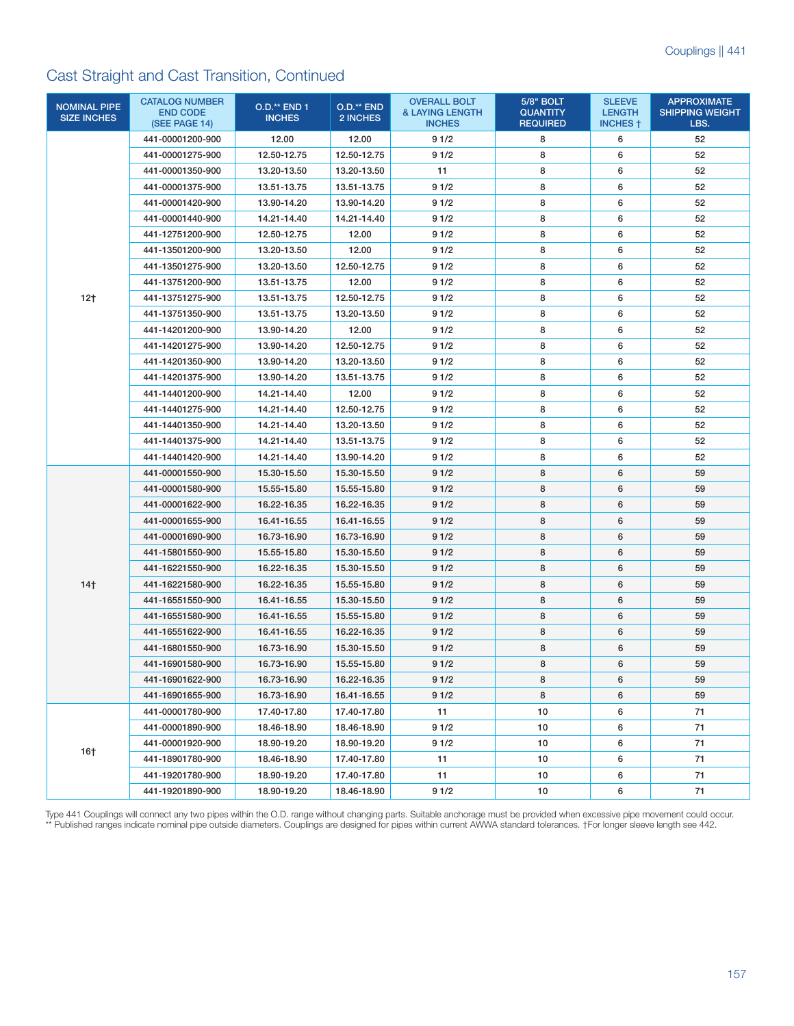## Cast Straight and Cast Transition, Continued

| <b>NOMINAL PIPE</b><br><b>SIZE INCHES</b> | <b>CATALOG NUMBER</b><br><b>END CODE</b><br>(SEE PAGE 14) | <b>O.D.** END 1</b><br><b>INCHES</b> | O.D.** END<br>2 INCHES | <b>OVERALL BOLT</b><br><b>&amp; LAYING LENGTH</b><br><b>INCHES</b> | <b>5/8" BOLT</b><br><b>QUANTITY</b><br><b>REQUIRED</b> | <b>SLEEVE</b><br><b>LENGTH</b><br><b>INCHES</b> † | <b>APPROXIMATE</b><br><b>SHIPPING WEIGHT</b><br>LBS. |
|-------------------------------------------|-----------------------------------------------------------|--------------------------------------|------------------------|--------------------------------------------------------------------|--------------------------------------------------------|---------------------------------------------------|------------------------------------------------------|
|                                           | 441-00001200-900                                          | 12.00                                | 12.00                  | 91/2                                                               | 8                                                      | 6                                                 | 52                                                   |
|                                           | 441-00001275-900                                          | 12.50-12.75                          | 12.50-12.75            | 91/2                                                               | 8                                                      | 6                                                 | 52                                                   |
|                                           | 441-00001350-900                                          | 13.20-13.50                          | 13.20-13.50            | 11                                                                 | 8                                                      | 6                                                 | 52                                                   |
|                                           | 441-00001375-900                                          | 13.51-13.75                          | 13.51-13.75            | 91/2                                                               | 8                                                      | 6                                                 | 52                                                   |
|                                           | 441-00001420-900                                          | 13.90-14.20                          | 13.90-14.20            | 91/2                                                               | 8                                                      | 6                                                 | 52                                                   |
|                                           | 441-00001440-900                                          | 14.21-14.40                          | 14.21-14.40            | 91/2                                                               | 8                                                      | 6                                                 | 52                                                   |
|                                           | 441-12751200-900                                          | 12.50-12.75                          | 12.00                  | 91/2                                                               | 8                                                      | 6                                                 | 52                                                   |
|                                           | 441-13501200-900                                          | 13.20-13.50                          | 12.00                  | 91/2                                                               | 8                                                      | 6                                                 | 52                                                   |
|                                           | 441-13501275-900                                          | 13.20-13.50                          | 12.50-12.75            | 91/2                                                               | 8                                                      | 6                                                 | 52                                                   |
|                                           | 441-13751200-900                                          | 13.51-13.75                          | 12.00                  | 91/2                                                               | 8                                                      | 6                                                 | 52                                                   |
| $12+$                                     | 441-13751275-900                                          | 13.51-13.75                          | 12.50-12.75            | 91/2                                                               | 8                                                      | 6                                                 | 52                                                   |
|                                           | 441-13751350-900                                          | 13.51-13.75                          | 13.20-13.50            | 91/2                                                               | 8                                                      | 6                                                 | 52                                                   |
|                                           | 441-14201200-900                                          | 13.90-14.20                          | 12.00                  | 91/2                                                               | 8                                                      | 6                                                 | 52                                                   |
|                                           | 441-14201275-900                                          | 13.90-14.20                          | 12.50-12.75            | 91/2                                                               | 8                                                      | 6                                                 | 52                                                   |
|                                           | 441-14201350-900                                          | 13.90-14.20                          | 13.20-13.50            | 91/2                                                               | 8                                                      | 6                                                 | 52                                                   |
|                                           | 441-14201375-900                                          | 13.90-14.20                          | 13.51-13.75            | 91/2                                                               | 8                                                      | 6                                                 | 52                                                   |
|                                           | 441-14401200-900                                          | 14.21-14.40                          | 12.00                  | 91/2                                                               | 8                                                      | 6                                                 | 52                                                   |
|                                           | 441-14401275-900                                          | 14.21-14.40                          | 12.50-12.75            | 91/2                                                               | 8                                                      | 6                                                 | 52                                                   |
|                                           | 441-14401350-900                                          | 14.21-14.40                          | 13.20-13.50            | 91/2                                                               | 8                                                      | 6                                                 | 52                                                   |
|                                           | 441-14401375-900                                          | 14.21-14.40                          | 13.51-13.75            | 91/2                                                               | 8                                                      | 6                                                 | 52                                                   |
|                                           | 441-14401420-900                                          | 14.21-14.40                          | 13.90-14.20            | 91/2                                                               | 8                                                      | 6                                                 | 52                                                   |
|                                           | 441-00001550-900                                          | 15.30-15.50                          | 15.30-15.50            | 91/2                                                               | 8                                                      | 6                                                 | 59                                                   |
|                                           | 441-00001580-900                                          | 15.55-15.80                          | 15.55-15.80            | 91/2                                                               | 8                                                      | 6                                                 | 59                                                   |
|                                           | 441-00001622-900                                          | 16.22-16.35                          | 16.22-16.35            | 91/2                                                               | 8                                                      | 6                                                 | 59                                                   |
|                                           | 441-00001655-900                                          | 16.41-16.55                          | 16.41-16.55            | 91/2                                                               | 8                                                      | 6                                                 | 59                                                   |
|                                           | 441-00001690-900                                          | 16.73-16.90                          | 16.73-16.90            | 91/2                                                               | 8                                                      | 6                                                 | 59                                                   |
|                                           | 441-15801550-900                                          | 15.55-15.80                          | 15.30-15.50            | 91/2                                                               | 8                                                      | 6                                                 | 59                                                   |
|                                           | 441-16221550-900                                          | 16.22-16.35                          | 15.30-15.50            | 91/2                                                               | 8                                                      | 6                                                 | 59                                                   |
| 14 <sub>†</sub>                           | 441-16221580-900                                          | 16.22-16.35                          | 15.55-15.80            | 91/2                                                               | 8                                                      | 6                                                 | 59                                                   |
|                                           | 441-16551550-900                                          | 16.41-16.55                          | 15.30-15.50            | 91/2                                                               | 8                                                      | 6                                                 | 59                                                   |
|                                           | 441-16551580-900                                          | 16.41-16.55                          | 15.55-15.80            | 91/2                                                               | 8                                                      | 6                                                 | 59                                                   |
|                                           | 441-16551622-900                                          | 16.41-16.55                          | 16.22-16.35            | 91/2                                                               | 8                                                      | 6                                                 | 59                                                   |
|                                           | 441-16801550-900                                          | 16.73-16.90                          | 15.30-15.50            | 91/2                                                               | 8                                                      | 6                                                 | 59                                                   |
|                                           | 441-16901580-900                                          | 16.73-16.90                          | 15.55-15.80            | 91/2                                                               | 8                                                      | 6                                                 | 59                                                   |
|                                           | 441-16901622-900                                          | 16.73-16.90                          | 16.22-16.35            | 91/2                                                               | 8                                                      | 6                                                 | 59                                                   |
|                                           | 441-16901655-900                                          | 16.73-16.90                          | 16.41-16.55            | 91/2                                                               | 8                                                      | 6                                                 | 59                                                   |
| $16+$                                     | 441-00001780-900                                          | 17.40-17.80                          | 17.40-17.80            | 11                                                                 | 10                                                     | 6                                                 | 71                                                   |
|                                           | 441-00001890-900                                          | 18.46-18.90                          | 18.46-18.90            | 91/2                                                               | 10                                                     | 6                                                 | 71                                                   |
|                                           | 441-00001920-900                                          | 18.90-19.20                          | 18.90-19.20            | 91/2                                                               | 10                                                     | 6                                                 | 71                                                   |
|                                           | 441-18901780-900                                          | 18.46-18.90                          | 17.40-17.80            | 11                                                                 | 10                                                     | 6                                                 | 71                                                   |
|                                           | 441-19201780-900                                          | 18.90-19.20                          | 17.40-17.80            | 11                                                                 | 10                                                     | 6                                                 | 71                                                   |
|                                           | 441-19201890-900                                          | 18.90-19.20                          | 18.46-18.90            | 91/2                                                               | 10                                                     | 6                                                 | 71                                                   |

Type 441 Couplings will connect any two pipes within the O.D. range without changing parts. Suitable anchorage must be provided when excessive pipe movement could occur. \*\* Published ranges indicate nominal pipe outside diameters. Couplings are designed for pipes within current AWWA standard tolerances. †For longer sleeve length see 442.